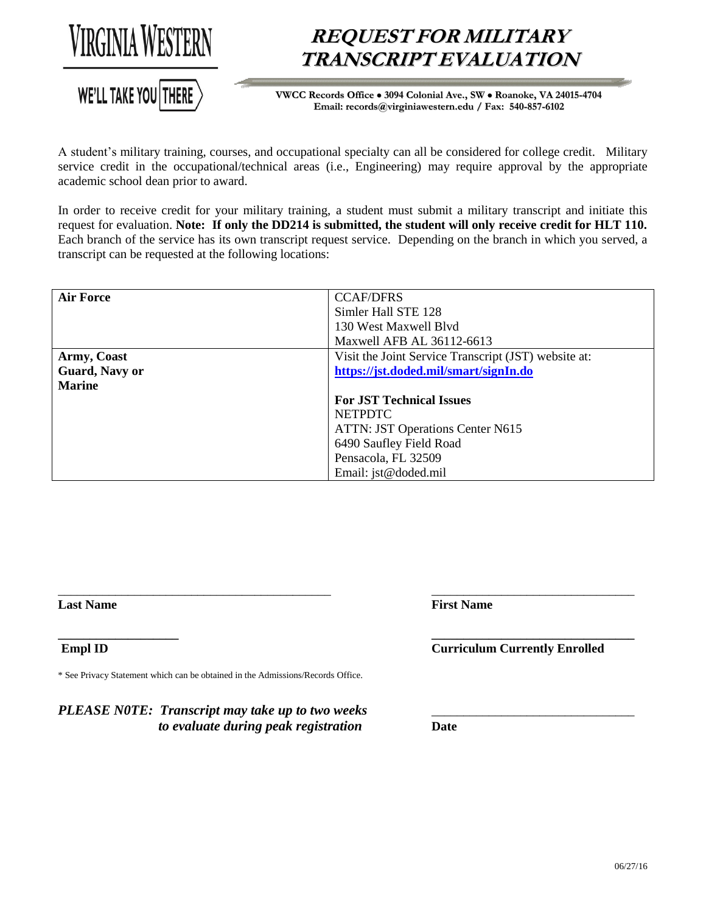



## **REQUEST FOR MILITARY TRANSCRIPT EVALUATION**

**VWCC Records Office 3094 Colonial Ave., SW Roanoke, VA 24015-4704 Email: records@virginiawestern.edu / Fax: 540-857-6102**

A student's military training, courses, and occupational specialty can all be considered for college credit. Military service credit in the occupational/technical areas (i.e., Engineering) may require approval by the appropriate academic school dean prior to award.

In order to receive credit for your military training, a student must submit a military transcript and initiate this request for evaluation. **Note: If only the DD214 is submitted, the student will only receive credit for HLT 110.**  Each branch of the service has its own transcript request service. Depending on the branch in which you served, a transcript can be requested at the following locations:

| <b>Air Force</b> | <b>CCAF/DFRS</b>                                     |  |
|------------------|------------------------------------------------------|--|
|                  | Simler Hall STE 128                                  |  |
|                  | 130 West Maxwell Blyd                                |  |
|                  | Maxwell AFB AL 36112-6613                            |  |
| Army, Coast      | Visit the Joint Service Transcript (JST) website at: |  |
| Guard, Navy or   | https://jst.doded.mil/smart/signIn.do                |  |
| <b>Marine</b>    |                                                      |  |
|                  | <b>For JST Technical Issues</b>                      |  |
|                  | <b>NETPDTC</b>                                       |  |
|                  | <b>ATTN: JST Operations Center N615</b>              |  |
|                  | 6490 Saufley Field Road                              |  |
|                  | Pensacola, FL 32509                                  |  |
|                  | Email: jst@doded.mil                                 |  |

\_\_\_\_\_\_\_\_\_\_\_\_\_\_\_\_\_\_\_\_\_\_\_\_\_\_\_\_\_\_\_\_\_\_\_\_\_\_\_\_\_\_\_ \_\_\_\_\_\_\_\_\_\_\_\_\_\_\_\_\_\_\_\_\_\_\_\_\_\_\_\_\_\_\_\_

**Last Name First Name First Name** 

\* See Privacy Statement which can be obtained in the Admissions/Records Office.

*PLEASE N0TE: Transcript may take up to two weeks to evaluate during peak registration* **Date**

## **\_\_\_\_\_\_\_\_\_\_\_\_\_\_\_\_\_\_\_ \_\_\_\_\_\_\_\_\_\_\_\_\_\_\_\_\_\_\_\_\_\_\_\_\_\_\_\_\_\_\_\_ Empl ID Curriculum Currently Enrolled**